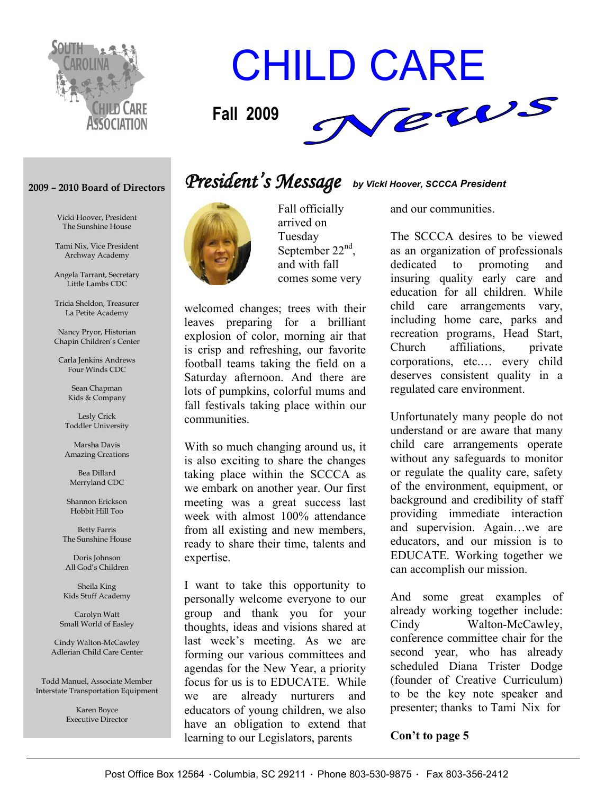

# CHILD CARE



#### **2009 – 2010 Board of Directors**

Vicki Hoover, President The Sunshine House

Tami Nix, Vice President Archway Academy

Angela Tarrant, Secretary Little Lambs CDC

Tricia Sheldon, Treasurer La Petite Academy

Nancy Pryor, Historian Chapin Children's Center

Carla Jenkins Andrews Four Winds CDC

> Sean Chapman Kids & Company

Lesly Crick Toddler University

Marsha Davis Amazing Creations

Bea Dillard Merryland CDC

Shannon Erickson Hobbit Hill Too

Betty Farris The Sunshine House

Doris Johnson All God's Children

Sheila King Kids Stuff Academy

Carolyn Watt Small World of Easley

Cindy Walton-McCawley Adlerian Child Care Center

Todd Manuel, Associate Member Interstate Transportation Equipment

> Karen Boyce Executive Director

### *President' s Message by Vicki Hoover, SCCCA President*



Fall officially arrived on Tuesday September 22<sup>nd</sup>. and with fall comes some very

welcomed changes; trees with their leaves preparing for a brilliant explosion of color, morning air that is crisp and refreshing, our favorite football teams taking the field on a Saturday afternoon. And there are lots of pumpkins, colorful mums and fall festivals taking place within our communities.

With so much changing around us, it is also exciting to share the changes taking place within the SCCCA as we embark on another year. Our first meeting was a great success last week with almost 100% attendance from all existing and new members, ready to share their time, talents and expertise.

I want to take this opportunity to personally welcome everyone to our group and thank you for your thoughts, ideas and visions shared at last week's meeting. As we are forming our various committees and agendas for the New Year, a priority focus for us is to EDUCATE. While we are already nurturers and educators of young children, we also have an obligation to extend that learning to our Legislators, parents

and our communities.

The SCCCA desires to be viewed as an organization of professionals dedicated to promoting and insuring quality early care and education for all children. While child care arrangements vary, including home care, parks and recreation programs, Head Start, Church affiliations, private corporations, etc.… every child deserves consistent quality in a regulated care environment.

Unfortunately many people do not understand or are aware that many child care arrangements operate without any safeguards to monitor or regulate the quality care, safety of the environment, equipment, or background and credibility of staff providing immediate interaction and supervision. Again…we are educators, and our mission is to EDUCATE. Working together we can accomplish our mission.

And some great examples of already working together include: Cindy Walton-McCawley, conference committee chair for the second year, who has already scheduled Diana Trister Dodge (founder of Creative Curriculum) to be the key note speaker and presenter; thanks to Tami Nix for

#### **Con't to page 5**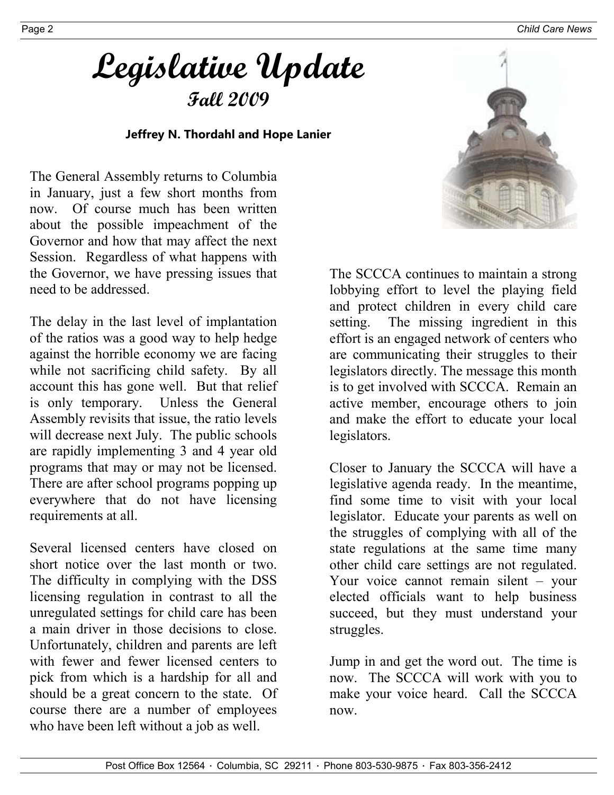Page 2 *Child Care News*

# **Legislative Update Fall 2009**

#### **Jeffrey N. Thordahl and Hope Lanier**

The General Assembly returns to Columbia in January, just a few short months from now. Of course much has been written about the possible impeachment of the Governor and how that may affect the next Session. Regardless of what happens with the Governor, we have pressing issues that need to be addressed.

The delay in the last level of implantation of the ratios was a good way to help hedge against the horrible economy we are facing while not sacrificing child safety. By all account this has gone well. But that relief is only temporary. Unless the General Assembly revisits that issue, the ratio levels will decrease next July. The public schools are rapidly implementing 3 and 4 year old programs that may or may not be licensed. There are after school programs popping up everywhere that do not have licensing requirements at all.

Several licensed centers have closed on short notice over the last month or two. The difficulty in complying with the DSS licensing regulation in contrast to all the unregulated settings for child care has been a main driver in those decisions to close. Unfortunately, children and parents are left with fewer and fewer licensed centers to pick from which is a hardship for all and should be a great concern to the state. Of course there are a number of employees who have been left without a job as well.



The SCCCA continues to maintain a strong lobbying effort to level the playing field and protect children in every child care setting. The missing ingredient in this effort is an engaged network of centers who are communicating their struggles to their legislators directly. The message this month is to get involved with SCCCA. Remain an active member, encourage others to join and make the effort to educate your local legislators.

Closer to January the SCCCA will have a legislative agenda ready. In the meantime, find some time to visit with your local legislator. Educate your parents as well on the struggles of complying with all of the state regulations at the same time many other child care settings are not regulated. Your voice cannot remain silent – your elected officials want to help business succeed, but they must understand your struggles.

Jump in and get the word out. The time is now. The SCCCA will work with you to make your voice heard. Call the SCCCA now.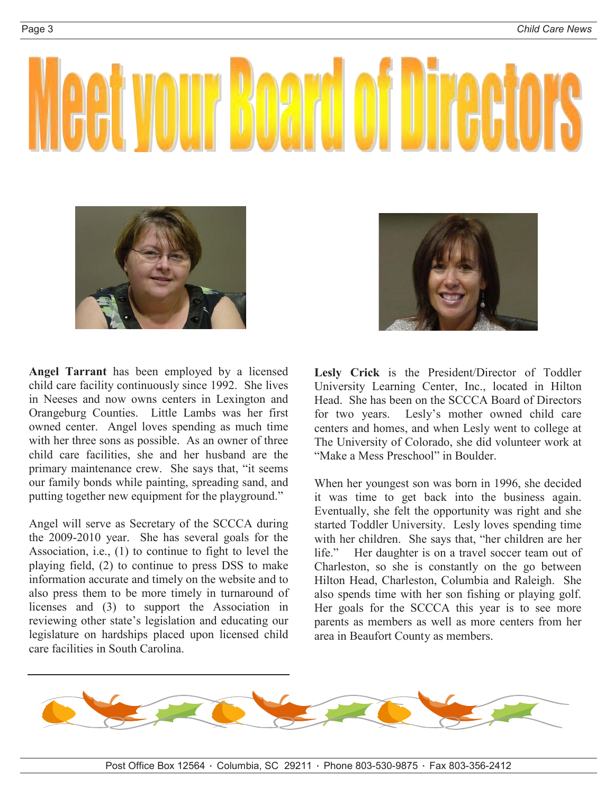



**Angel Tarrant** has been employed by a licensed child care facility continuously since 1992. She lives in Neeses and now owns centers in Lexington and Orangeburg Counties. Little Lambs was her first owned center. Angel loves spending as much time with her three sons as possible. As an owner of three child care facilities, she and her husband are the primary maintenance crew. She says that, "it seems our family bonds while painting, spreading sand, and putting together new equipment for the playground."

Angel will serve as Secretary of the SCCCA during the 2009-2010 year. She has several goals for the Association, i.e., (1) to continue to fight to level the playing field, (2) to continue to press DSS to make information accurate and timely on the website and to also press them to be more timely in turnaround of licenses and (3) to support the Association in reviewing other state's legislation and educating our legislature on hardships placed upon licensed child care facilities in South Carolina.

**Lesly Crick** is the President/Director of Toddler University Learning Center, Inc., located in Hilton Head. She has been on the SCCCA Board of Directors for two years. Lesly's mother owned child care centers and homes, and when Lesly went to college at The University of Colorado, she did volunteer work at "Make a Mess Preschool" in Boulder.

When her youngest son was born in 1996, she decided it was time to get back into the business again. Eventually, she felt the opportunity was right and she started Toddler University. Lesly loves spending time with her children. She says that, "her children are her life." Her daughter is on a travel soccer team out of Charleston, so she is constantly on the go between Hilton Head, Charleston, Columbia and Raleigh. She also spends time with her son fishing or playing golf. Her goals for the SCCCA this year is to see more parents as members as well as more centers from her area in Beaufort County as members.

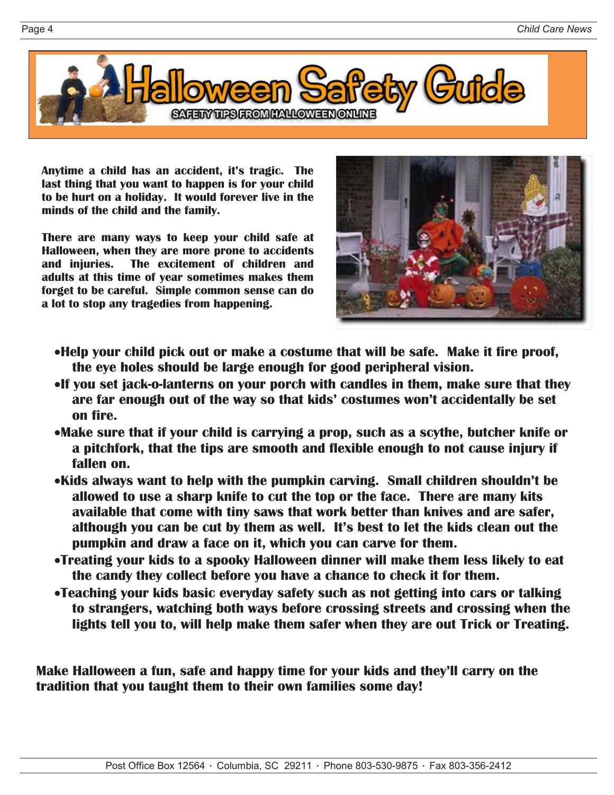

**Anytime a child has an accident, it's tragic. The last thing that you want to happen is for your child to be hurt on a holiday. It would forever live in the minds of the child and the family.**

**There are many ways to keep your child safe at Halloween, when they are more prone to accidents and injuries. The excitement of children and adults at this time of year sometimes makes them forget to be careful. Simple common sense can do a lot to stop any tragedies from happening.**



- •**Help your child pick out or make a costume that will be safe. Make it fire proof, the eye holes should be large enough for good peripheral vision.**
- •**If you set jack-o-lanterns on your porch with candles in them, make sure that they are far enough out of the way so that kids' costumes won't accidentally be set on fire.**
- •**Make sure that if your child is carrying a prop, such as a scythe, butcher knife or a pitchfork, that the tips are smooth and flexible enough to not cause injury if fallen on.**
- •**Kids always want to help with the pumpkin carving. Small children shouldn't be allowed to use a sharp knife to cut the top or the face. There are many kits available that come with tiny saws that work better than knives and are safer, although you can be cut by them as well. It's best to let the kids clean out the pumpkin and draw a face on it, which you can carve for them.**
- •**Treating your kids to a spooky Halloween dinner will make them less likely to eat the candy they collect before you have a chance to check it for them.**
- •**Teaching your kids basic everyday safety such as not getting into cars or talking to strangers, watching both ways before crossing streets and crossing when the lights tell you to, will help make them safer when they are out Trick or Treating.**

**Make Halloween a fun, safe and happy time for your kids and they'll carry on the tradition that you taught them to their own families some day!**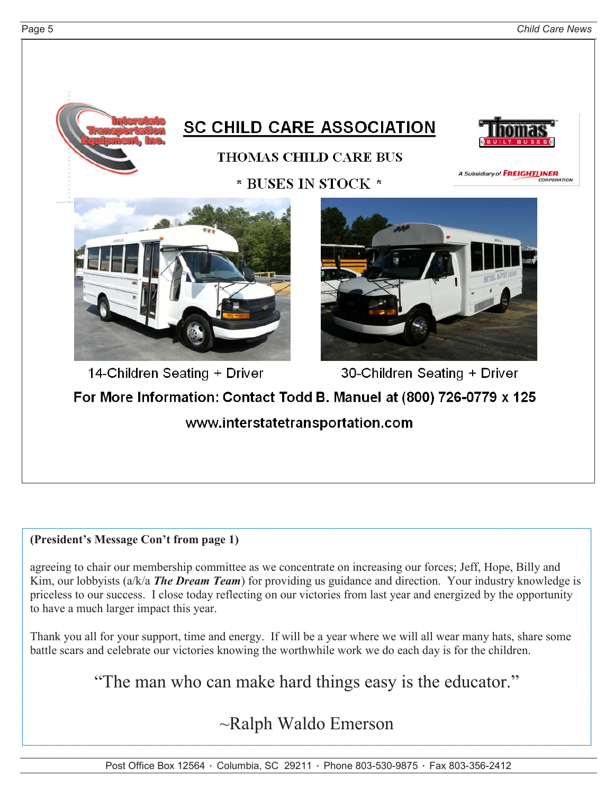

#### **(President's Message Con't from page 1)**

agreeing to chair our membership committee as we concentrate on increasing our forces; Jeff, Hope, Billy and Kim, our lobbyists (a/k/a *The Dream Team*) for providing us guidance and direction. Your industry knowledge is priceless to our success. I close today reflecting on our victories from last year and energized by the opportunity to have a much larger impact this year.

Thank you all for your support, time and energy. If will be a year where we will all wear many hats, share some battle scars and celebrate our victories knowing the worthwhile work we do each day is for the children.

"The man who can make hard things easy is the educator."

~Ralph Waldo Emerson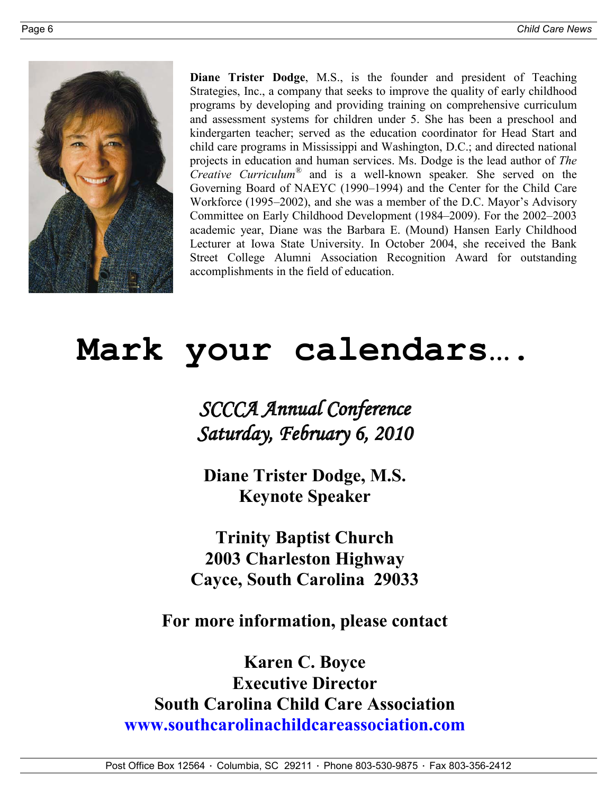

**Diane Trister Dodge**, M.S., is the founder and president of Teaching Strategies, Inc., a company that seeks to improve the quality of early childhood programs by developing and providing training on comprehensive curriculum and assessment systems for children under 5. She has been a preschool and kindergarten teacher; served as the education coordinator for Head Start and child care programs in Mississippi and Washington, D.C.; and directed national projects in education and human services. Ms. Dodge is the lead author of *The Creative Curriculum®* and is a well-known speaker*.* She served on the Governing Board of NAEYC (1990–1994) and the Center for the Child Care Workforce (1995–2002), and she was a member of the D.C. Mayor's Advisory Committee on Early Childhood Development (1984–2009). For the 2002–2003 academic year, Diane was the Barbara E. (Mound) Hansen Early Childhood Lecturer at Iowa State University. In October 2004, she received the Bank Street College Alumni Association Recognition Award for outstanding accomplishments in the field of education.

# **Mark your calendars….**

*SCCCA Annual Conference Saturday, February 6, 2010*

**Diane Trister Dodge, M.S. Keynote Speaker**

**Trinity Baptist Church 2003 Charleston Highway Cayce, South Carolina 29033**

**For more information, please contact**

**Karen C. Boyce Executive Director South Carolina Child Care Association www.southcarolinachildcareassociation.com**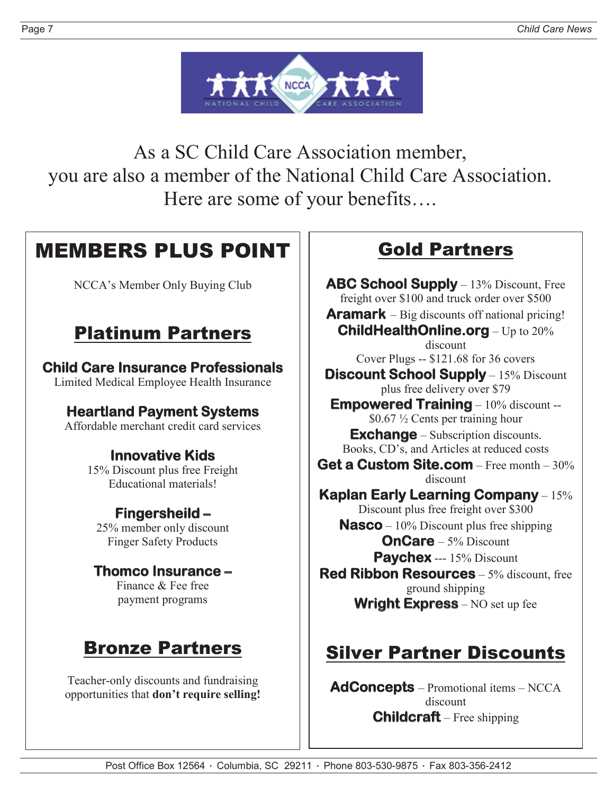

As a SC Child Care Association member, you are also a member of the National Child Care Association. Here are some of your benefits….

### MEMBERS PLUS POINT

NCCA's Member Only Buying Club

### Platinum Partners

#### **Child Care Insurance Professionals** Limited Medical Employee Health Insurance

### **Heartland Payment Systems**

Affordable merchant credit card services

### **Innovative Kids**

15% Discount plus free Freight Educational materials!

#### **Fingersheild –**

25% member only discount Finger Safety Products

#### **Thomco Insurance –**

Finance & Fee free payment programs

### Bronze Partners

Teacher-only discounts and fundraising opportunities that **don't require selling!**

### Gold Partners

**ABC School Supply** – 13% Discount, Free freight over \$100 and truck order over \$500 **Aramark** – Big discounts off national pricing! **ChildHealthOnline.org** – Up to 20% discount Cover Plugs -- \$121.68 for 36 covers **Discount School Supply** – 15% Discount

plus free delivery over \$79 **Empowered Training** – 10% discount -- \$0.67 ½ Cents per training hour

**Exchange** – Subscription discounts. Books, CD's, and Articles at reduced costs

**Get a Custom Site.com** – Free month – 30% discount

**Kaplan Early Learning Company** – 15% Discount plus free freight over \$300 **Nasco** – 10% Discount plus free shipping **OnCare** – 5% Discount **Paychex** --- 15% Discount

**Red Ribbon Resources** – 5% discount, free ground shipping **Wright Express** – NO set up fee

### Silver Partner Discounts

**AdConcepts** – Promotional items – NCCA discount **Childcraft** – Free shipping